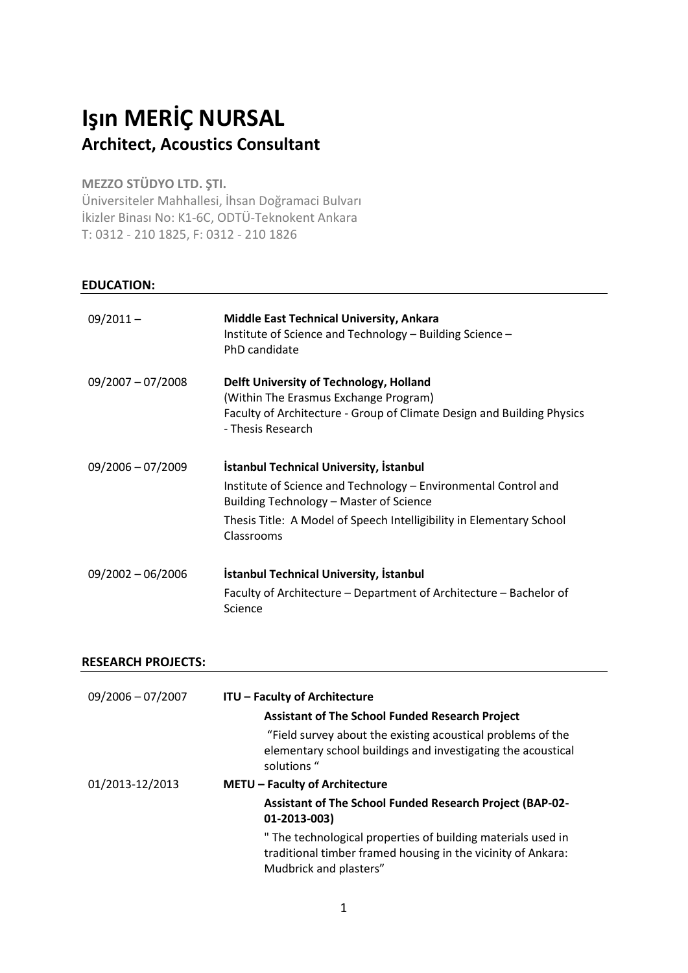# Işın MERİÇ NURSAL Architect, Acoustics Consultant

## MEZZO STÜDYO LTD. ŞTI.

Üniversiteler Mahhallesi, İhsan Doğramaci Bulvarı İkizler Binası No: K1-6C, ODTÜ-Teknokent Ankara T: 0312 - 210 1825, F: 0312 - 210 1826

### EDUCATION:

| $09/2011 -$         | <b>Middle East Technical University, Ankara</b><br>Institute of Science and Technology - Building Science -<br>PhD candidate                                                    |
|---------------------|---------------------------------------------------------------------------------------------------------------------------------------------------------------------------------|
| $09/2007 - 07/2008$ | Delft University of Technology, Holland<br>(Within The Erasmus Exchange Program)<br>Faculty of Architecture - Group of Climate Design and Building Physics<br>- Thesis Research |
| $09/2006 - 07/2009$ | <b>İstanbul Technical University, İstanbul</b><br>Institute of Science and Technology - Environmental Control and                                                               |
|                     | Building Technology - Master of Science                                                                                                                                         |
|                     | Thesis Title: A Model of Speech Intelligibility in Elementary School<br>Classrooms                                                                                              |
| $09/2002 - 06/2006$ | <b>Istanbul Technical University, Istanbul</b>                                                                                                                                  |
|                     | Faculty of Architecture – Department of Architecture – Bachelor of<br>Science                                                                                                   |

#### RESEARCH PROJECTS:

| $09/2006 - 07/2007$ | <b>ITU - Faculty of Architecture</b><br><b>Assistant of The School Funded Research Project</b>                                                         |
|---------------------|--------------------------------------------------------------------------------------------------------------------------------------------------------|
|                     | "Field survey about the existing acoustical problems of the<br>elementary school buildings and investigating the acoustical<br>solutions "             |
| 01/2013-12/2013     | <b>METU - Faculty of Architecture</b>                                                                                                                  |
|                     | <b>Assistant of The School Funded Research Project (BAP-02-</b><br>01-2013-003)                                                                        |
|                     | " The technological properties of building materials used in<br>traditional timber framed housing in the vicinity of Ankara:<br>Mudbrick and plasters" |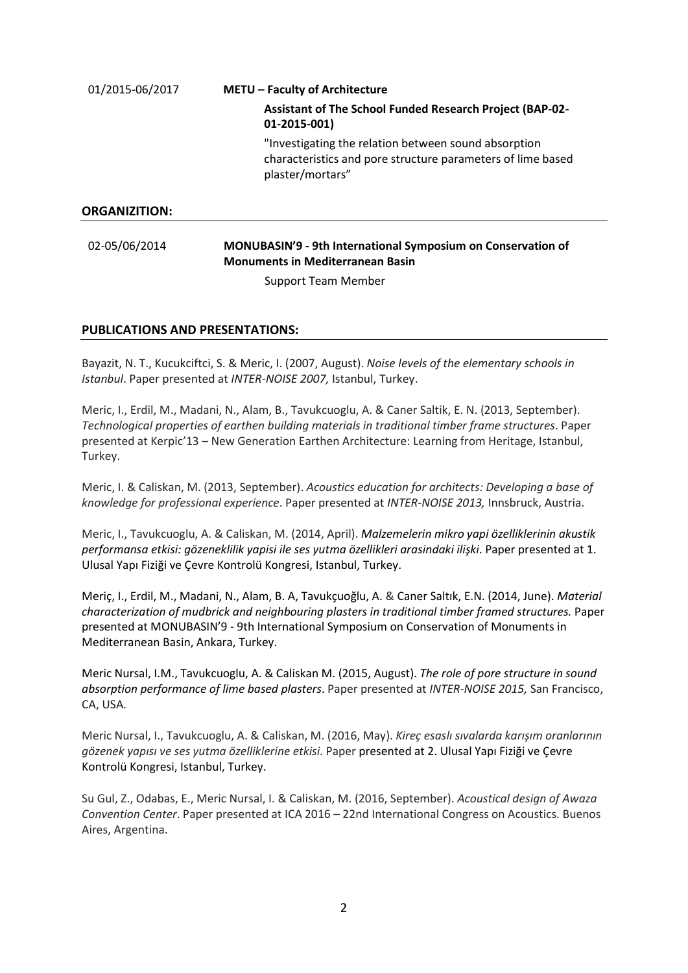| 01/2015-06/2017      | <b>METU - Faculty of Architecture</b>                                                                                                   |  |
|----------------------|-----------------------------------------------------------------------------------------------------------------------------------------|--|
|                      | <b>Assistant of The School Funded Research Project (BAP-02-</b><br>01-2015-001)                                                         |  |
|                      | "Investigating the relation between sound absorption<br>characteristics and pore structure parameters of lime based<br>plaster/mortars" |  |
| <b>ORGANIZITION:</b> |                                                                                                                                         |  |
| 02-05/06/2014        | MONUBASIN'9 - 9th International Symposium on Conservation of<br><b>Monuments in Mediterranean Basin</b>                                 |  |
|                      | <b>Support Team Member</b>                                                                                                              |  |

#### PUBLICATIONS AND PRESENTATIONS:

Bayazit, N. T., Kucukciftci, S. & Meric, I. (2007, August). Noise levels of the elementary schools in Istanbul. Paper presented at INTER-NOISE 2007, Istanbul, Turkey.

Meric, I., Erdil, M., Madani, N., Alam, B., Tavukcuoglu, A. & Caner Saltik, E. N. (2013, September). Technological properties of earthen building materials in traditional timber frame structures. Paper presented at Kerpic'13 – New Generation Earthen Architecture: Learning from Heritage, Istanbul, Turkey.

Meric, I. & Caliskan, M. (2013, September). Acoustics education for architects: Developing a base of knowledge for professional experience. Paper presented at INTER-NOISE 2013, Innsbruck, Austria.

Meric, I., Tavukcuoglu, A. & Caliskan, M. (2014, April). Malzemelerin mikro yapi özelliklerinin akustik performansa etkisi: gözeneklilik yapisi ile ses yutma özellikleri arasindaki ilişki. Paper presented at 1. Ulusal Yapı Fiziği ve Çevre Kontrolü Kongresi, Istanbul, Turkey.

Meriç, I., Erdil, M., Madani, N., Alam, B. A, Tavukçuoğlu, A. & Caner Saltık, E.N. (2014, June). Material characterization of mudbrick and neighbouring plasters in traditional timber framed structures. Paper presented at MONUBASIN'9 - 9th International Symposium on Conservation of Monuments in Mediterranean Basin, Ankara, Turkey.

Meric Nursal, I.M., Tavukcuoglu, A. & Caliskan M. (2015, August). The role of pore structure in sound absorption performance of lime based plasters. Paper presented at INTER-NOISE 2015, San Francisco, CA, USA.

Meric Nursal, I., Tavukcuoglu, A. & Caliskan, M. (2016, May). Kı̇reç esaslı sıvalarda karışım oranlarının gözenek yapısı ve ses yutma özelliklerine etkisi. Paper presented at 2. Ulusal Yapı Fiziği ve Çevre Kontrolü Kongresi, Istanbul, Turkey.

Su Gul, Z., Odabas, E., Meric Nursal, I. & Caliskan, M. (2016, September). Acoustical design of Awaza Convention Center. Paper presented at ICA 2016 – 22nd International Congress on Acoustics. Buenos Aires, Argentina.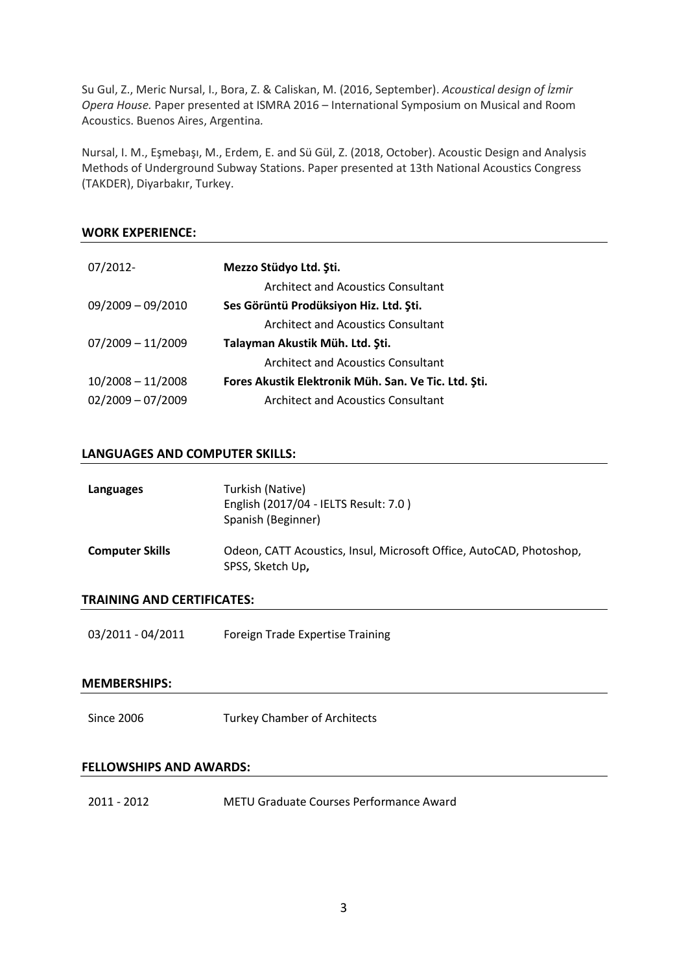Su Gul, Z., Meric Nursal, I., Bora, Z. & Caliskan, M. (2016, September). Acoustical design of İzmir Opera House. Paper presented at ISMRA 2016 – International Symposium on Musical and Room Acoustics. Buenos Aires, Argentina.

Nursal, I. M., Eşmebaşı, M., Erdem, E. and Sü Gül, Z. (2018, October). Acoustic Design and Analysis Methods of Underground Subway Stations. Paper presented at 13th National Acoustics Congress (TAKDER), Diyarbakır, Turkey.

#### WORK EXPERIENCE:

| 07/2012-            | Mezzo Stüdyo Ltd. Şti.                               |
|---------------------|------------------------------------------------------|
|                     | <b>Architect and Acoustics Consultant</b>            |
| $09/2009 - 09/2010$ | Ses Görüntü Prodüksiyon Hiz. Ltd. Şti.               |
|                     | <b>Architect and Acoustics Consultant</b>            |
| $07/2009 - 11/2009$ | Talayman Akustik Müh. Ltd. Şti.                      |
|                     | <b>Architect and Acoustics Consultant</b>            |
| $10/2008 - 11/2008$ | Fores Akustik Elektronik Müh. San. Ve Tic. Ltd. Şti. |
| $02/2009 - 07/2009$ | <b>Architect and Acoustics Consultant</b>            |

#### LANGUAGES AND COMPUTER SKILLS:

| Languages              | Turkish (Native)<br>English (2017/04 - IELTS Result: 7.0)<br>Spanish (Beginner)         |
|------------------------|-----------------------------------------------------------------------------------------|
| <b>Computer Skills</b> | Odeon, CATT Acoustics, Insul, Microsoft Office, AutoCAD, Photoshop,<br>SPSS, Sketch Up, |

#### TRAINING AND CERTIFICATES:

03/2011 - 04/2011 Foreign Trade Expertise Training

#### MEMBERSHIPS:

Since 2006 Turkey Chamber of Architects

#### FELLOWSHIPS AND AWARDS:

2011 - 2012 METU Graduate Courses Performance Award